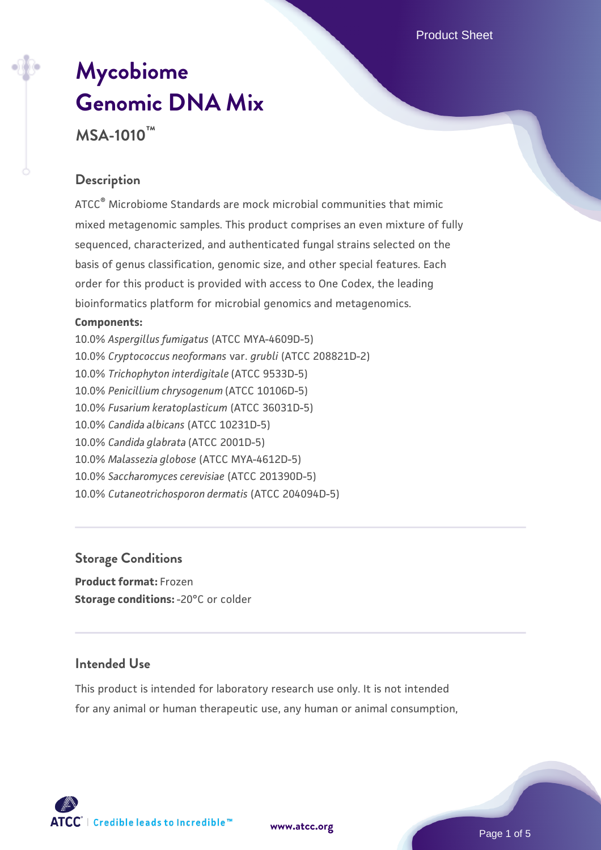# **[Mycobiome](https://www.atcc.org/products/msa-1010) [Genomic DNA Mix](https://www.atcc.org/products/msa-1010) MSA-1010™**

## **Description**

ATCC® Microbiome Standards are mock microbial communities that mimic mixed metagenomic samples. This product comprises an even mixture of fully sequenced, characterized, and authenticated fungal strains selected on the basis of genus classification, genomic size, and other special features. Each order for this product is provided with access to One Codex, the leading bioinformatics platform for microbial genomics and metagenomics.

#### **Components:**

10.0% *Aspergillus fumigatus* (ATCC MYA-4609D-5) 10.0% *Cryptococcus neoformans* var. *grubli* (ATCC 208821D-2) 10.0% *Trichophyton interdigitale* (ATCC 9533D-5) 10.0% *Penicillium chrysogenum* (ATCC 10106D-5) 10.0% *Fusarium keratoplasticum* (ATCC 36031D-5) 10.0% *Candida albicans* (ATCC 10231D-5) 10.0% *Candida glabrata* (ATCC 2001D-5) 10.0% *Malassezia globose* (ATCC MYA-4612D-5) 10.0% *Saccharomyces cerevisiae* (ATCC 201390D-5) 10.0% *Cutaneotrichosporon dermatis* (ATCC 204094D-5)

#### **Storage Conditions**

**Product format:** Frozen **Storage conditions: -20°C or colder** 

## **Intended Use**

This product is intended for laboratory research use only. It is not intended for any animal or human therapeutic use, any human or animal consumption,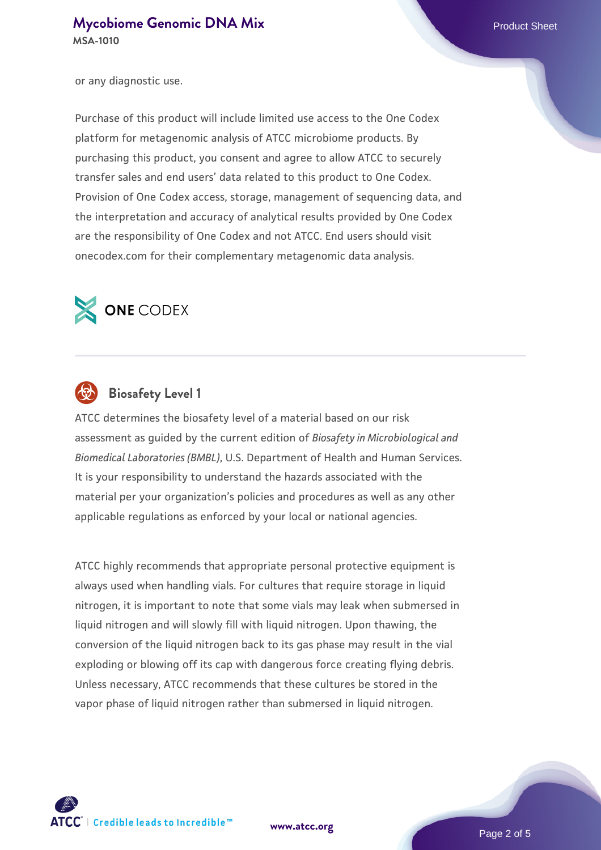or any diagnostic use.

Purchase of this product will include limited use access to the One Codex platform for metagenomic analysis of ATCC microbiome products. By purchasing this product, you consent and agree to allow ATCC to securely transfer sales and end users' data related to this product to One Codex. Provision of One Codex access, storage, management of sequencing data, and the interpretation and accuracy of analytical results provided by One Codex are the responsibility of One Codex and not ATCC. End users should visit onecodex.com for their complementary metagenomic data analysis.





## **Biosafety Level 1**

ATCC determines the biosafety level of a material based on our risk assessment as guided by the current edition of *Biosafety in Microbiological and Biomedical Laboratories (BMBL)*, U.S. Department of Health and Human Services. It is your responsibility to understand the hazards associated with the material per your organization's policies and procedures as well as any other applicable regulations as enforced by your local or national agencies.

ATCC highly recommends that appropriate personal protective equipment is always used when handling vials. For cultures that require storage in liquid nitrogen, it is important to note that some vials may leak when submersed in liquid nitrogen and will slowly fill with liquid nitrogen. Upon thawing, the conversion of the liquid nitrogen back to its gas phase may result in the vial exploding or blowing off its cap with dangerous force creating flying debris. Unless necessary, ATCC recommends that these cultures be stored in the vapor phase of liquid nitrogen rather than submersed in liquid nitrogen.



**[www.atcc.org](http://www.atcc.org)**

Page 2 of 5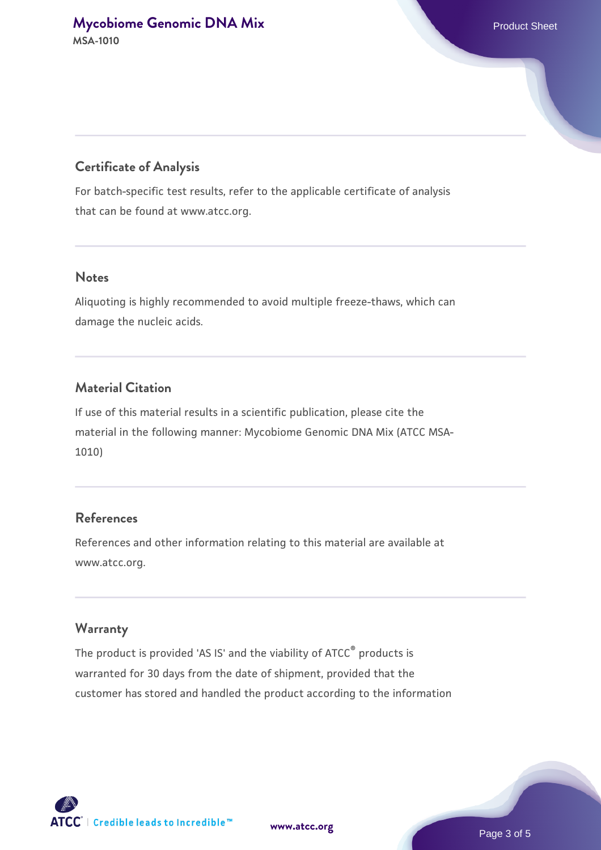## **Certificate of Analysis**

For batch-specific test results, refer to the applicable certificate of analysis that can be found at www.atcc.org.

## **Notes**

Aliquoting is highly recommended to avoid multiple freeze-thaws, which can damage the nucleic acids.

## **Material Citation**

If use of this material results in a scientific publication, please cite the material in the following manner: Mycobiome Genomic DNA Mix (ATCC MSA-1010)

## **References**

References and other information relating to this material are available at www.atcc.org.

#### **Warranty**

The product is provided 'AS IS' and the viability of ATCC® products is warranted for 30 days from the date of shipment, provided that the customer has stored and handled the product according to the information

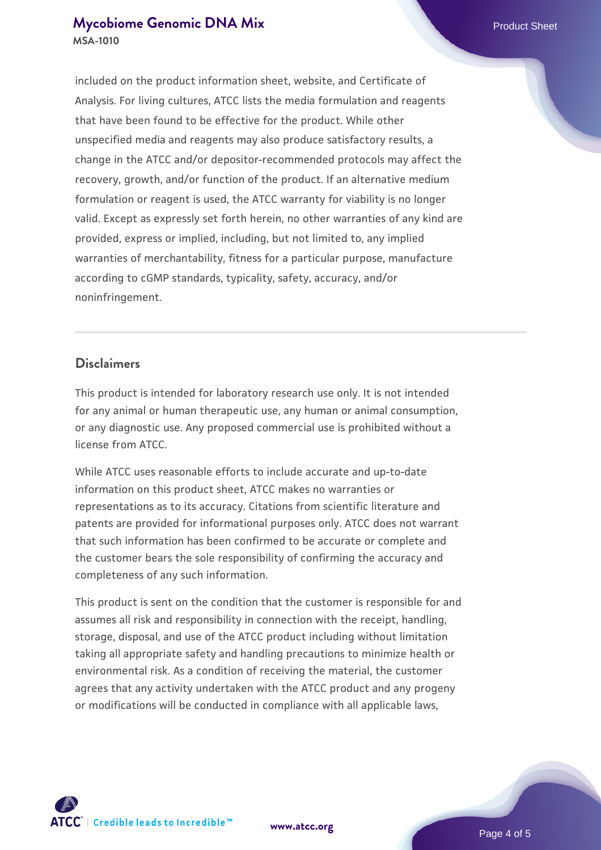## **[Mycobiome Genomic DNA Mix](https://www.atcc.org/products/msa-1010) Product Sheet MSA-1010**

included on the product information sheet, website, and Certificate of Analysis. For living cultures, ATCC lists the media formulation and reagents that have been found to be effective for the product. While other unspecified media and reagents may also produce satisfactory results, a change in the ATCC and/or depositor-recommended protocols may affect the recovery, growth, and/or function of the product. If an alternative medium formulation or reagent is used, the ATCC warranty for viability is no longer valid. Except as expressly set forth herein, no other warranties of any kind are provided, express or implied, including, but not limited to, any implied warranties of merchantability, fitness for a particular purpose, manufacture according to cGMP standards, typicality, safety, accuracy, and/or noninfringement.

## **Disclaimers**

This product is intended for laboratory research use only. It is not intended for any animal or human therapeutic use, any human or animal consumption, or any diagnostic use. Any proposed commercial use is prohibited without a license from ATCC.

While ATCC uses reasonable efforts to include accurate and up-to-date information on this product sheet, ATCC makes no warranties or representations as to its accuracy. Citations from scientific literature and patents are provided for informational purposes only. ATCC does not warrant that such information has been confirmed to be accurate or complete and the customer bears the sole responsibility of confirming the accuracy and completeness of any such information.

This product is sent on the condition that the customer is responsible for and assumes all risk and responsibility in connection with the receipt, handling, storage, disposal, and use of the ATCC product including without limitation taking all appropriate safety and handling precautions to minimize health or environmental risk. As a condition of receiving the material, the customer agrees that any activity undertaken with the ATCC product and any progeny or modifications will be conducted in compliance with all applicable laws,